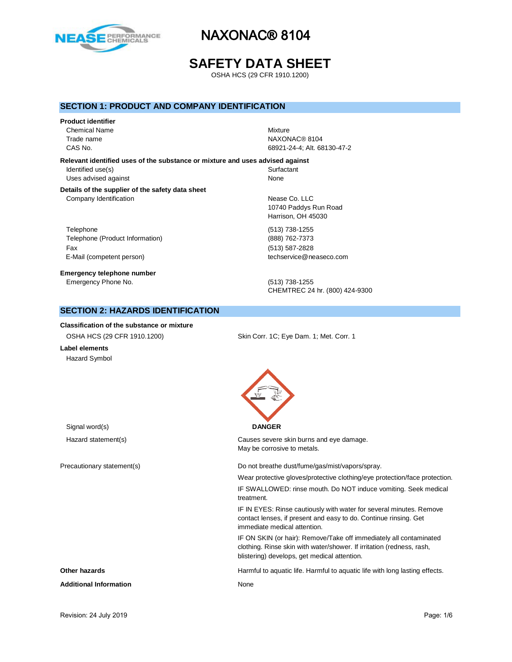

# **SAFETY DATA SHEET**

OSHA HCS (29 CFR 1910.1200)

### **SECTION 1: PRODUCT AND COMPANY IDENTIFICATION**

# **Product identifier** Chemical Name Mixture

Trade name NAXONAC® 8104 CAS No. 68921-24-4; Alt. 68130-47-2

**Relevant identified uses of the substance or mixture and uses advised against** Identified use(s) Surfactant

Uses advised against None

#### **Details of the supplier of the safety data sheet** Company Identification **Nease Co.** LLC

Telephone (513) 738-1255 Telephone (Product Information) (888) 762-7373 Fax (513) 587-2828 E-Mail (competent person) example a second techservice@neaseco.com

**Emergency telephone number** Emergency Phone No. (513) 738-1255

10740 Paddys Run Road Harrison, OH 45030

CHEMTREC 24 hr. (800) 424-9300

# **SECTION 2: HAZARDS IDENTIFICATION**

### **Classification of the substance or mixture**

| OSHA HCS (29 CFR 1910.1200) | Skin Corr. 1C; Eye Dam. 1; Met. Corr. 1 |
|-----------------------------|-----------------------------------------|
|                             |                                         |

**Label elements** Hazard Symbol

| Signal word(s)                | <b>DANGER</b>                                                                                                                                                                               |
|-------------------------------|---------------------------------------------------------------------------------------------------------------------------------------------------------------------------------------------|
| Hazard statement(s)           | Causes severe skin burns and eye damage.<br>May be corrosive to metals.                                                                                                                     |
| Precautionary statement(s)    | Do not breathe dust/fume/gas/mist/vapors/spray.                                                                                                                                             |
|                               | Wear protective gloves/protective clothing/eye protection/face protection.                                                                                                                  |
|                               | IF SWALLOWED: rinse mouth. Do NOT induce vomiting. Seek medical<br>treatment.                                                                                                               |
|                               | IF IN EYES: Rinse cautiously with water for several minutes. Remove<br>contact lenses, if present and easy to do. Continue rinsing. Get<br>immediate medical attention.                     |
|                               | IF ON SKIN (or hair): Remove/Take off immediately all contaminated<br>clothing. Rinse skin with water/shower. If irritation (redness, rash,<br>blistering) develops, get medical attention. |
| Other hazards                 | Harmful to aquatic life. Harmful to aquatic life with long lasting effects.                                                                                                                 |
| <b>Additional Information</b> | None                                                                                                                                                                                        |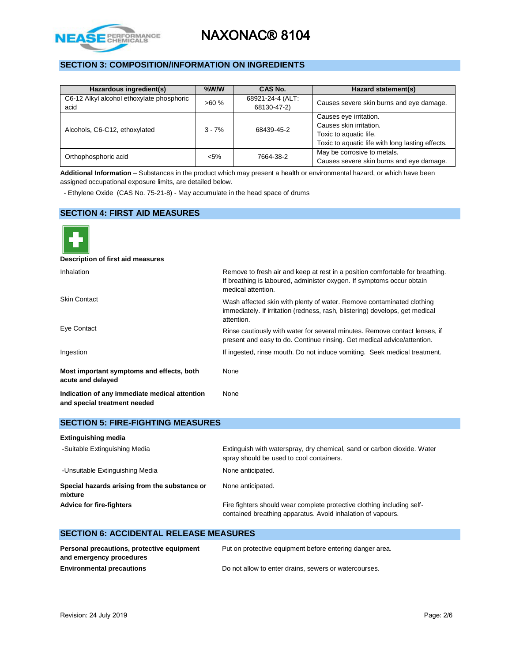

# **SECTION 3: COMPOSITION/INFORMATION ON INGREDIENTS**

| Hazardous ingredient(s)                           | $%$ W/W  | CAS No.                         | Hazard statement(s)                                                                                                             |
|---------------------------------------------------|----------|---------------------------------|---------------------------------------------------------------------------------------------------------------------------------|
| C6-12 Alkyl alcohol ethoxylate phosphoric<br>acid | >60%     | 68921-24-4 (ALT:<br>68130-47-2) | Causes severe skin burns and eye damage.                                                                                        |
| Alcohols, C6-C12, ethoxylated                     | $3 - 7%$ | 68439-45-2                      | Causes eye irritation.<br>Causes skin irritation.<br>Toxic to aquatic life.<br>Toxic to aquatic life with long lasting effects. |
| Orthophosphoric acid                              | $< 5\%$  | 7664-38-2                       | May be corrosive to metals.<br>Causes severe skin burns and eye damage.                                                         |

**Additional Information** – Substances in the product which may present a health or environmental hazard, or which have been assigned occupational exposure limits, are detailed below.

- Ethylene Oxide (CAS No. 75-21-8) - May accumulate in the head space of drums

### **SECTION 4: FIRST AID MEASURES**

| Description of first aid measures                                             |                                                                                                                                                                              |
|-------------------------------------------------------------------------------|------------------------------------------------------------------------------------------------------------------------------------------------------------------------------|
| <b>Inhalation</b>                                                             | Remove to fresh air and keep at rest in a position comfortable for breathing.<br>If breathing is laboured, administer oxygen. If symptoms occur obtain<br>medical attention. |
| <b>Skin Contact</b>                                                           | Wash affected skin with plenty of water. Remove contaminated clothing<br>immediately. If irritation (redness, rash, blistering) develops, get medical<br>attention.          |
| Eye Contact                                                                   | Rinse cautiously with water for several minutes. Remove contact lenses, if<br>present and easy to do. Continue rinsing. Get medical advice/attention.                        |
| Ingestion                                                                     | If ingested, rinse mouth. Do not induce vomiting. Seek medical treatment.                                                                                                    |
| Most important symptoms and effects, both<br>acute and delayed                | None                                                                                                                                                                         |
| Indication of any immediate medical attention<br>and special treatment needed | None                                                                                                                                                                         |

### **SECTION 5: FIRE-FIGHTING MEASURES**

| <b>Extinguishing media</b>                               |                                                                                                                                       |
|----------------------------------------------------------|---------------------------------------------------------------------------------------------------------------------------------------|
| -Suitable Extinguishing Media                            | Extinguish with waterspray, dry chemical, sand or carbon dioxide. Water<br>spray should be used to cool containers.                   |
| -Unsuitable Extinguishing Media                          | None anticipated.                                                                                                                     |
| Special hazards arising from the substance or<br>mixture | None anticipated.                                                                                                                     |
| <b>Advice for fire-fighters</b>                          | Fire fighters should wear complete protective clothing including self-<br>contained breathing apparatus. Avoid inhalation of vapours. |

# **SECTION 6: ACCIDENTAL RELEASE MEASURES**

| Personal precautions, protective equipment | Put on protective equipment before entering danger area. |
|--------------------------------------------|----------------------------------------------------------|
| and emergency procedures                   |                                                          |
| <b>Environmental precautions</b>           | Do not allow to enter drains, sewers or watercourses.    |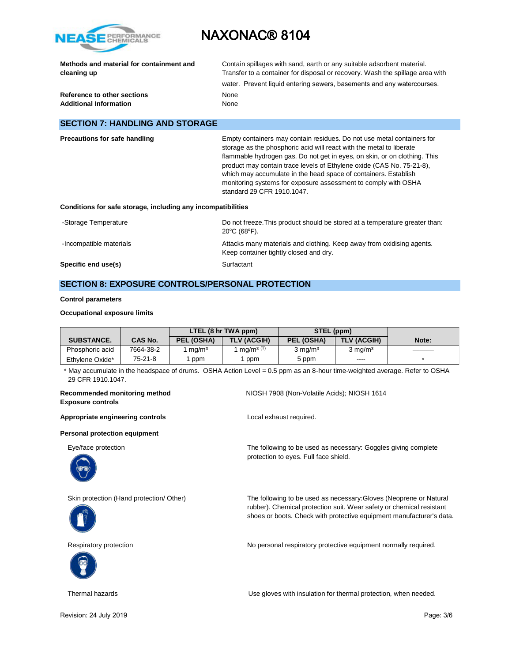

| Methods and material for containment and<br>cleaning up      | Contain spillages with sand, earth or any suitable adsorbent material.<br>Transfer to a container for disposal or recovery. Wash the spillage area with<br>water. Prevent liquid entering sewers, basements and any watercourses. |  |
|--------------------------------------------------------------|-----------------------------------------------------------------------------------------------------------------------------------------------------------------------------------------------------------------------------------|--|
| Reference to other sections<br><b>Additional Information</b> | None<br>None                                                                                                                                                                                                                      |  |
| <b>SECTION 7: HANDLING AND STORAGE</b>                       |                                                                                                                                                                                                                                   |  |

| <b>Precautions for safe handling</b>                         | Empty containers may contain residues. Do not use metal containers for<br>storage as the phosphoric acid will react with the metal to liberate<br>flammable hydrogen gas. Do not get in eyes, on skin, or on clothing. This              |
|--------------------------------------------------------------|------------------------------------------------------------------------------------------------------------------------------------------------------------------------------------------------------------------------------------------|
|                                                              | product may contain trace levels of Ethylene oxide (CAS No. 75-21-8),<br>which may accumulate in the head space of containers. Establish<br>monitoring systems for exposure assessment to comply with OSHA<br>standard 29 CFR 1910.1047. |
| Conditions for safe storage, including any incompatibilities |                                                                                                                                                                                                                                          |
| Atoraga Tamparatura.                                         | Do not freeze This product should be stored at a temperature greater than:                                                                                                                                                               |

#### **Conditions for safe storage, including any incompatibilities**

| -Storage Temperature    | Do not freeze. This product should be stored at a temperature greater than:<br>$20^{\circ}$ C (68 $^{\circ}$ F). |
|-------------------------|------------------------------------------------------------------------------------------------------------------|
| -Incompatible materials | Attacks many materials and clothing. Keep away from oxidising agents.<br>Keep container tightly closed and dry.  |
| Specific end use(s)     | Surfactant                                                                                                       |

# **SECTION 8: EXPOSURE CONTROLS/PERSONAL PROTECTION**

#### **Control parameters**

#### **Occupational exposure limits**

|                   |                | LTEL (8 hr TWA ppm) |                                   | STEL (ppm) |                    |       |
|-------------------|----------------|---------------------|-----------------------------------|------------|--------------------|-------|
| <b>SUBSTANCE.</b> | <b>CAS No.</b> | PEL (OSHA)          | <b>TLV (ACGIH)</b>                | PEL (OSHA) | <b>TLV (ACGIH)</b> | Note: |
| Phosphoric acid   | 7664-38-2      | ma/m <sup>3</sup>   | ma/m <sup>3<math>(T)</math></sup> | 3 ma/mª    | $3 \text{ ma/m}^3$ |       |
| Ethylene Oxide*   | $75-21-8$      | ppm                 | ppm                               | 5 ppm      | ----               |       |

 \* May accumulate in the headspace of drums. OSHA Action Level = 0.5 ppm as an 8-hour time-weighted average. Refer to OSHA 29 CFR 1910.1047.

protection to eyes. Full face shield.

#### **Recommended monitoring method** NIOSH 7908 (Non-Volatile Acids); NIOSH 1614 **Exposure controls**

Appropriate engineering controls **Appropriate engineering controls Local exhaust required.** 

#### **Personal protection equipment**

Eye/face protection The following to be used as necessary: Goggles giving complete



Skin protection (Hand protection/ Other) The following to be used as necessary:Gloves (Neoprene or Natural



Respiratory protection **No personal respiratory protective equipment normally required.** 



Thermal hazards Use gloves with insulation for thermal protection, when needed.

rubber). Chemical protection suit. Wear safety or chemical resistant shoes or boots. Check with protective equipment manufacturer's data.

Revision: 24 July 2019 **Page: 3/6** Page: 3/6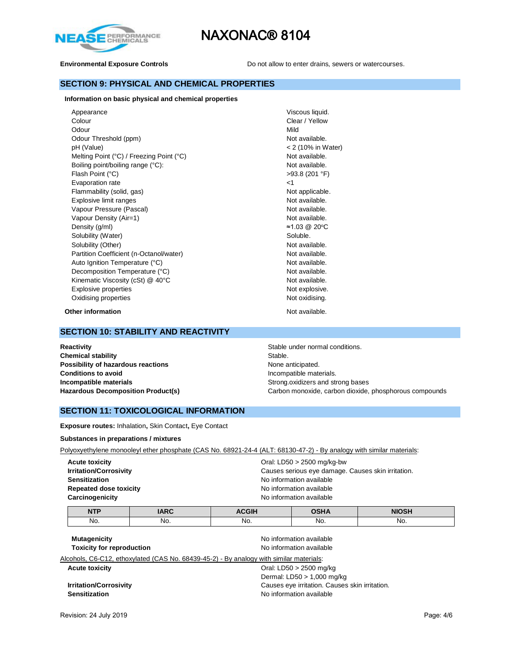



**Environmental Exposure Controls Do not allow to enter drains, sewers or watercourses.** 

### **SECTION 9: PHYSICAL AND CHEMICAL PROPERTIES**

**Information on basic physical and chemical properties**

| Appearance                               | Viscous liquid.    |
|------------------------------------------|--------------------|
| Colour                                   | Clear / Yellow     |
| Odour                                    | Mild               |
| Odour Threshold (ppm)                    | Not available.     |
| pH (Value)                               | < 2 (10% in Water) |
| Melting Point (°C) / Freezing Point (°C) | Not available.     |
| Boiling point/boiling range (°C):        | Not available.     |
| Flash Point (°C)                         | $>93.8$ (201 °F)   |
| Evaporation rate                         | ا>                 |
| Flammability (solid, gas)                | Not applicable.    |
| Explosive limit ranges                   | Not available.     |
| Vapour Pressure (Pascal)                 | Not available.     |
| Vapour Density (Air=1)                   | Not available.     |
| Density (g/ml)                           | ≈1.03 @ 20°C       |
| Solubility (Water)                       | Soluble.           |
| Solubility (Other)                       | Not available.     |
| Partition Coefficient (n-Octanol/water)  | Not available.     |
| Auto Ignition Temperature (°C)           | Not available.     |
| Decomposition Temperature (°C)           | Not available.     |
| Kinematic Viscosity (cSt) @ 40°C         | Not available.     |
| Explosive properties                     | Not explosive.     |
| Oxidising properties                     | Not oxidising.     |

**Other information Other information Not available.** 

### **SECTION 10: STABILITY AND REACTIVITY**

**Reactivity Reactivity Stable under normal conditions.** Stable under normal conditions. **Chemical stability** Stable. **Possibility of hazardous reactions None anticipated.** None anticipated. **Conditions to avoid Incompatible materials. Conditions to avoid Incompatible materials Incompatible materials Strong.oxidizers and strong bases** 

Hazardous Decomposition Product(s) **Carbon monoxide, carbon dioxide**, phosphorous compounds

### **SECTION 11: TOXICOLOGICAL INFORMATION**

**Exposure routes:** Inhalation**,** Skin Contact**,** Eye Contact

#### **Substances in preparations / mixtures**

Polyoxyethylene monooleyl ether phosphate (CAS No. 68921-24-4 (ALT: 68130-47-2) - By analogy with similar materials:

| <b>Acute toxicity</b>         | Oral: LD50 $>$ 2500 mg/kg-bw                       |
|-------------------------------|----------------------------------------------------|
| <b>Irritation/Corrosivity</b> | Causes serious eye damage. Causes skin irritation. |
| <b>Sensitization</b>          | No information available                           |
| <b>Repeated dose toxicity</b> | No information available                           |
| Carcinogenicity               | No information available                           |
|                               |                                                    |

| <b>NTP</b> | <b>IARC</b> | <b>ACGIH</b> | <b>OSHA</b> | <b>NIOSH</b> |
|------------|-------------|--------------|-------------|--------------|
| No.        | No.         | No.          | No.         | No.          |

**Mutagenicity Mutagenicity No** information available **Toxicity for reproduction No information available** 

Alcohols, C6-C12, ethoxylated (CAS No. 68439-45-2) - By analogy with similar materials:

**Acute toxicity Acute toxicity Oral: LD50 > 2500 mg/kg** Dermal: LD50 > 1,000 mg/kg **Irritation/Corrosivity Causes eye irritation.** Causes skin irritation. **Sensitization Sensitization No information available**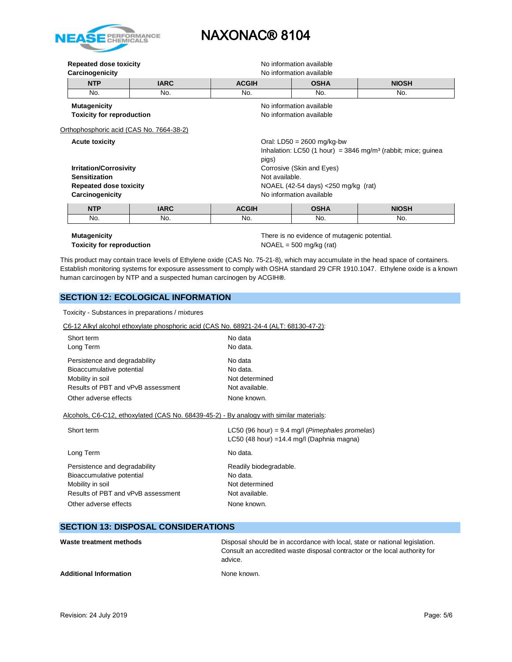

| Repeated dose toxicity<br>No information available<br>Carcinogenicity<br>No information available                                                           |             |                                                                                                                     |             |              |
|-------------------------------------------------------------------------------------------------------------------------------------------------------------|-------------|---------------------------------------------------------------------------------------------------------------------|-------------|--------------|
| <b>NTP</b>                                                                                                                                                  | <b>IARC</b> | <b>ACGIH</b><br><b>OSHA</b><br><b>NIOSH</b>                                                                         |             |              |
| No.                                                                                                                                                         | No.         | No.                                                                                                                 | No.         | No.          |
| <b>Mutagenicity</b><br>No information available<br><b>Toxicity for reproduction</b><br>No information available<br>Orthophosphoric acid (CAS No. 7664-38-2) |             |                                                                                                                     |             |              |
| <b>Acute toxicity</b>                                                                                                                                       |             | Oral: $LD50 = 2600$ mg/kg-bw<br>Inhalation: LC50 (1 hour) = $3846$ mg/m <sup>3</sup> (rabbit; mice; guinea<br>pigs) |             |              |
| <b>Irritation/Corrosivity</b><br><b>Sensitization</b><br><b>Repeated dose toxicity</b><br>Carcinogenicity                                                   |             | Corrosive (Skin and Eyes)<br>Not available.<br>NOAEL (42-54 days) $<$ 250 mg/kg (rat)<br>No information available   |             |              |
| <b>NTP</b>                                                                                                                                                  | <b>IARC</b> | <b>ACGIH</b>                                                                                                        | <b>OSHA</b> | <b>NIOSH</b> |
| No.                                                                                                                                                         | No.         | No.                                                                                                                 | No.         | No.          |

**Mutagenicity** There is no evidence of mutagenic potential. **Toxicity for reproduction**  $NOAEL = 500 \text{ mg/kg (rat)}$ 

This product may contain trace levels of Ethylene oxide (CAS No. 75-21-8), which may accumulate in the head space of containers. Establish monitoring systems for exposure assessment to comply with OSHA standard 29 CFR 1910.1047. Ethylene oxide is a known human carcinogen by NTP and a suspected human carcinogen by ACGIH**®**.

# **SECTION 12: ECOLOGICAL INFORMATION**

Toxicity - Substances in preparations / mixtures

#### C6-12 Alkyl alcohol ethoxylate phosphoric acid (CAS No. 68921-24-4 (ALT: 68130-47-2):

| Short term<br>Long Term                                                                 | No data<br>No data.                                      |
|-----------------------------------------------------------------------------------------|----------------------------------------------------------|
| Persistence and degradability                                                           | No data                                                  |
| Bioaccumulative potential                                                               | No data.                                                 |
| Mobility in soil                                                                        | Not determined                                           |
| Results of PBT and vPvB assessment                                                      | Not available.                                           |
| Other adverse effects                                                                   | None known.                                              |
| Alcohols, C6-C12, ethoxylated (CAS No. 68439-45-2) - By analogy with similar materials: |                                                          |
| Short term                                                                              | LC50 (96 hour) = 9.4 mg/l ( <i>Pimephales promelas</i> ) |
|                                                                                         | $C50/48$ hour) $-14.4$ mall (Danhnia magna)              |

|                                                            | $L$ C <sub>2</sub> U (46 hour) = 14.4 mg/l (Daphina magna) |
|------------------------------------------------------------|------------------------------------------------------------|
| Long Term                                                  | No data.                                                   |
| Persistence and degradability<br>Bioaccumulative potential | Readily biodegradable.<br>No data.                         |
| Mobility in soil                                           | Not determined                                             |
| Results of PBT and vPvB assessment                         | Not available.                                             |
| Other adverse effects                                      | None known.                                                |

# **SECTION 13: DISPOSAL CONSIDERATIONS**

| Waste treatment methods       | Disposal should be in accordance with local, state or national legislation.<br>Consult an accredited waste disposal contractor or the local authority for<br>advice. |
|-------------------------------|----------------------------------------------------------------------------------------------------------------------------------------------------------------------|
| <b>Additional Information</b> | None known.                                                                                                                                                          |